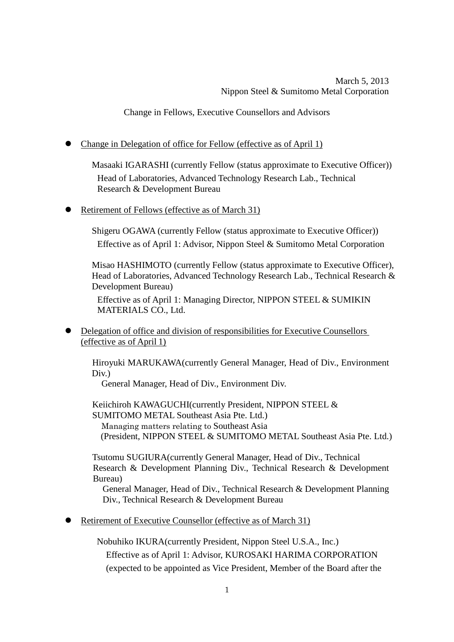Change in Fellows, Executive Counsellors and Advisors

Change in Delegation of office for Fellow (effective as of April 1)

Masaaki IGARASHI (currently Fellow (status approximate to Executive Officer)) Head of Laboratories, Advanced Technology Research Lab., Technical Research & Development Bureau

Retirement of Fellows (effective as of March 31)

Shigeru OGAWA (currently Fellow (status approximate to Executive Officer)) Effective as of April 1: Advisor, Nippon Steel & Sumitomo Metal Corporation

Misao HASHIMOTO (currently Fellow (status approximate to Executive Officer), Head of Laboratories, Advanced Technology Research Lab., Technical Research & Development Bureau)

Effective as of April 1: Managing Director, NIPPON STEEL & SUMIKIN MATERIALS CO., Ltd.

 Delegation of office and division of responsibilities for Executive Counsellors (effective as of April 1)

Hiroyuki MARUKAWA(currently General Manager, Head of Div., Environment Div.)

General Manager, Head of Div., Environment Div.

Keiichiroh KAWAGUCHI(currently President, NIPPON STEEL & SUMITOMO METAL Southeast Asia Pte. Ltd.) Managing matters relating to Southeast Asia (President, NIPPON STEEL & SUMITOMO METAL Southeast Asia Pte. Ltd.)

Tsutomu SUGIURA(currently General Manager, Head of Div., Technical Research & Development Planning Div., Technical Research & Development Bureau)

 General Manager, Head of Div., Technical Research & Development Planning Div., Technical Research & Development Bureau

Retirement of Executive Counsellor (effective as of March 31)

Nobuhiko IKURA(currently President, Nippon Steel U.S.A., Inc.) Effective as of April 1: Advisor, KUROSAKI HARIMA CORPORATION (expected to be appointed as Vice President, Member of the Board after the